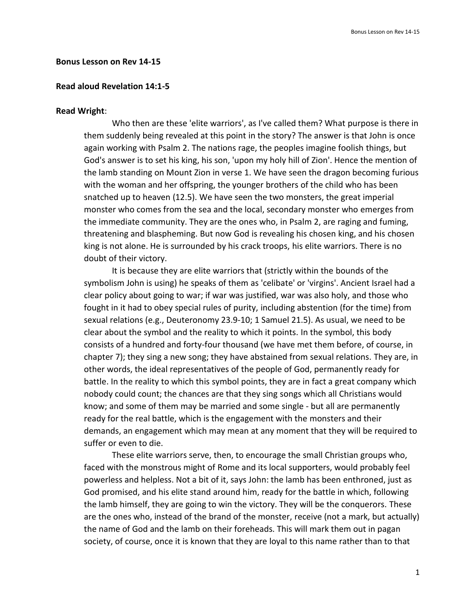## **Bonus Lesson on Rev 14-15**

## **Read aloud Revelation 14:1-5**

#### **Read Wright**:

Who then are these 'elite warriors', as I've called them? What purpose is there in them suddenly being revealed at this point in the story? The answer is that John is once again working with Psalm 2. The nations rage, the peoples imagine foolish things, but God's answer is to set his king, his son, 'upon my holy hill of Zion'. Hence the mention of the lamb standing on Mount Zion in verse 1. We have seen the dragon becoming furious with the woman and her offspring, the younger brothers of the child who has been snatched up to heaven (12.5). We have seen the two monsters, the great imperial monster who comes from the sea and the local, secondary monster who emerges from the immediate community. They are the ones who, in Psalm 2, are raging and fuming, threatening and blaspheming. But now God is revealing his chosen king, and his chosen king is not alone. He is surrounded by his crack troops, his elite warriors. There is no doubt of their victory.

It is because they are elite warriors that (strictly within the bounds of the symbolism John is using) he speaks of them as 'celibate' or 'virgins'. Ancient Israel had a clear policy about going to war; if war was justified, war was also holy, and those who fought in it had to obey special rules of purity, including abstention (for the time) from sexual relations (e.g., Deuteronomy 23.9-10; 1 Samuel 21.5). As usual, we need to be clear about the symbol and the reality to which it points. In the symbol, this body consists of a hundred and forty-four thousand (we have met them before, of course, in chapter 7); they sing a new song; they have abstained from sexual relations. They are, in other words, the ideal representatives of the people of God, permanently ready for battle. In the reality to which this symbol points, they are in fact a great company which nobody could count; the chances are that they sing songs which all Christians would know; and some of them may be married and some single - but all are permanently ready for the real battle, which is the engagement with the monsters and their demands, an engagement which may mean at any moment that they will be required to suffer or even to die.

These elite warriors serve, then, to encourage the small Christian groups who, faced with the monstrous might of Rome and its local supporters, would probably feel powerless and helpless. Not a bit of it, says John: the lamb has been enthroned, just as God promised, and his elite stand around him, ready for the battle in which, following the lamb himself, they are going to win the victory. They will be the conquerors. These are the ones who, instead of the brand of the monster, receive (not a mark, but actually) the name of God and the lamb on their foreheads. This will mark them out in pagan society, of course, once it is known that they are loyal to this name rather than to that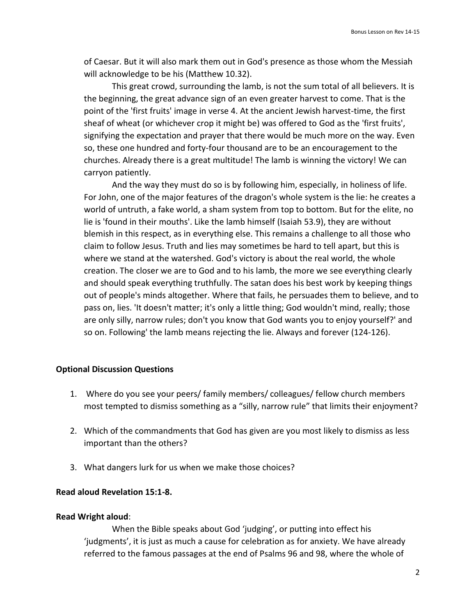of Caesar. But it will also mark them out in God's presence as those whom the Messiah will acknowledge to be his (Matthew 10.32).

This great crowd, surrounding the lamb, is not the sum total of all believers. It is the beginning, the great advance sign of an even greater harvest to come. That is the point of the 'first fruits' image in verse 4. At the ancient Jewish harvest-time, the first sheaf of wheat (or whichever crop it might be) was offered to God as the 'first fruits', signifying the expectation and prayer that there would be much more on the way. Even so, these one hundred and forty-four thousand are to be an encouragement to the churches. Already there is a great multitude! The lamb is winning the victory! We can carryon patiently.

And the way they must do so is by following him, especially, in holiness of life. For John, one of the major features of the dragon's whole system is the lie: he creates a world of untruth, a fake world, a sham system from top to bottom. But for the elite, no lie is 'found in their mouths'. Like the lamb himself (Isaiah 53.9), they are without blemish in this respect, as in everything else. This remains a challenge to all those who claim to follow Jesus. Truth and lies may sometimes be hard to tell apart, but this is where we stand at the watershed. God's victory is about the real world, the whole creation. The closer we are to God and to his lamb, the more we see everything clearly and should speak everything truthfully. The satan does his best work by keeping things out of people's minds altogether. Where that fails, he persuades them to believe, and to pass on, lies. 'It doesn't matter; it's only a little thing; God wouldn't mind, really; those are only silly, narrow rules; don't you know that God wants you to enjoy yourself?' and so on. Following' the lamb means rejecting the lie. Always and forever (124-126).

# **Optional Discussion Questions**

- 1. Where do you see your peers/ family members/ colleagues/ fellow church members most tempted to dismiss something as a "silly, narrow rule" that limits their enjoyment?
- 2. Which of the commandments that God has given are you most likely to dismiss as less important than the others?
- 3. What dangers lurk for us when we make those choices?

# **Read aloud Revelation 15:1-8.**

# **Read Wright aloud**:

When the Bible speaks about God 'judging', or putting into effect his 'judgments', it is just as much a cause for celebration as for anxiety. We have already referred to the famous passages at the end of Psalms 96 and 98, where the whole of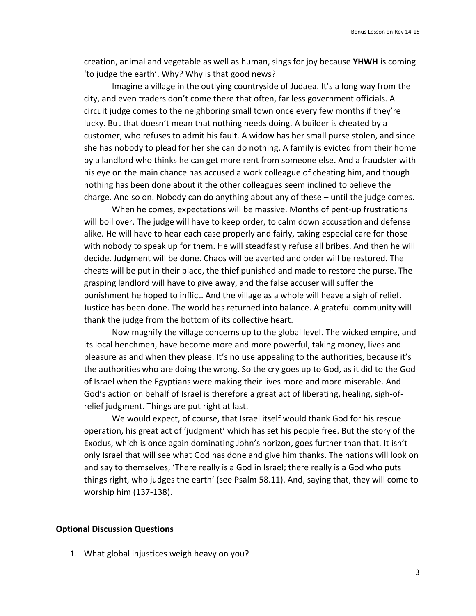creation, animal and vegetable as well as human, sings for joy because **YHWH** is coming 'to judge the earth'. Why? Why is that good news?

Imagine a village in the outlying countryside of Judaea. It's a long way from the city, and even traders don't come there that often, far less government officials. A circuit judge comes to the neighboring small town once every few months if they're lucky. But that doesn't mean that nothing needs doing. A builder is cheated by a customer, who refuses to admit his fault. A widow has her small purse stolen, and since she has nobody to plead for her she can do nothing. A family is evicted from their home by a landlord who thinks he can get more rent from someone else. And a fraudster with his eye on the main chance has accused a work colleague of cheating him, and though nothing has been done about it the other colleagues seem inclined to believe the charge. And so on. Nobody can do anything about any of these – until the judge comes.

When he comes, expectations will be massive. Months of pent-up frustrations will boil over. The judge will have to keep order, to calm down accusation and defense alike. He will have to hear each case properly and fairly, taking especial care for those with nobody to speak up for them. He will steadfastly refuse all bribes. And then he will decide. Judgment will be done. Chaos will be averted and order will be restored. The cheats will be put in their place, the thief punished and made to restore the purse. The grasping landlord will have to give away, and the false accuser will suffer the punishment he hoped to inflict. And the village as a whole will heave a sigh of relief. Justice has been done. The world has returned into balance. A grateful community will thank the judge from the bottom of its collective heart.

Now magnify the village concerns up to the global level. The wicked empire, and its local henchmen, have become more and more powerful, taking money, lives and pleasure as and when they please. It's no use appealing to the authorities, because it's the authorities who are doing the wrong. So the cry goes up to God, as it did to the God of Israel when the Egyptians were making their lives more and more miserable. And God's action on behalf of Israel is therefore a great act of liberating, healing, sigh-ofrelief judgment. Things are put right at last.

We would expect, of course, that Israel itself would thank God for his rescue operation, his great act of 'judgment' which has set his people free. But the story of the Exodus, which is once again dominating John's horizon, goes further than that. It isn't only Israel that will see what God has done and give him thanks. The nations will look on and say to themselves, 'There really is a God in Israel; there really is a God who puts things right, who judges the earth' (see Psalm 58.11). And, saying that, they will come to worship him (137-138).

## **Optional Discussion Questions**

1. What global injustices weigh heavy on you?